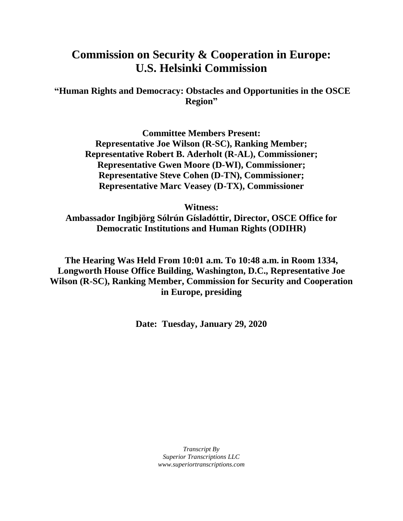## **Commission on Security & Cooperation in Europe: U.S. Helsinki Commission**

**"Human Rights and Democracy: Obstacles and Opportunities in the OSCE Region"**

> **Committee Members Present: Representative Joe Wilson (R-SC), Ranking Member; Representative Robert B. Aderholt (R-AL), Commissioner; Representative Gwen Moore (D-WI), Commissioner; Representative Steve Cohen (D-TN), Commissioner; Representative Marc Veasey (D-TX), Commissioner**

> > **Witness:**

**Ambassador Ingibjörg Sólrún Gísladóttir, Director, OSCE Office for Democratic Institutions and Human Rights (ODIHR)**

**The Hearing Was Held From 10:01 a.m. To 10:48 a.m. in Room 1334, Longworth House Office Building, Washington, D.C., Representative Joe Wilson (R-SC), Ranking Member, Commission for Security and Cooperation in Europe, presiding**

**Date: Tuesday, January 29, 2020**

*Transcript By Superior Transcriptions LLC www.superiortranscriptions.com*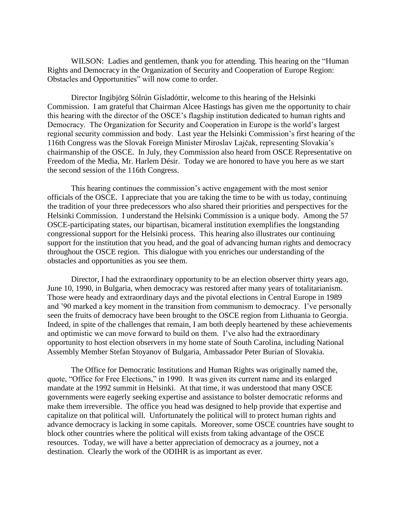WILSON: Ladies and gentlemen, thank you for attending. This hearing on the "Human Rights and Democracy in the Organization of Security and Cooperation of Europe Region: Obstacles and Opportunities" will now come to order.

Director Ingibjörg Sólrún Gísladóttir, welcome to this hearing of the Helsinki Commission. I am grateful that Chairman Alcee Hastings has given me the opportunity to chair this hearing with the director of the OSCE's flagship institution dedicated to human rights and Democracy. The Organization for Security and Cooperation in Europe is the world's largest regional security commission and body. Last year the Helsinki Commission's first hearing of the 116th Congress was the Slovak Foreign Minister Miroslav Lajčak, representing Slovakia's chairmanship of the OSCE. In July, they Commission also heard from OSCE Representative on Freedom of the Media, Mr. Harlem Désir. Today we are honored to have you here as we start the second session of the 116th Congress.

This hearing continues the commission's active engagement with the most senior officials of the OSCE. I appreciate that you are taking the time to be with us today, continuing the tradition of your three predecessors who also shared their priorities and perspectives for the Helsinki Commission. I understand the Helsinki Commission is a unique body. Among the 57 OSCE-participating states, our bipartisan, bicameral institution exemplifies the longstanding congressional support for the Helsinki process. This hearing also illustrates our continuing support for the institution that you head, and the goal of advancing human rights and democracy throughout the OSCE region. This dialogue with you enriches our understanding of the obstacles and opportunities as you see them.

Director, I had the extraordinary opportunity to be an election observer thirty years ago, June 10, 1990, in Bulgaria, when democracy was restored after many years of totalitarianism. Those were heady and extraordinary days and the pivotal elections in Central Europe in 1989 and '90 marked a key moment in the transition from communism to democracy. I've personally seen the fruits of democracy have been brought to the OSCE region from Lithuania to Georgia. Indeed, in spite of the challenges that remain, I am both deeply heartened by these achievements and optimistic we can move forward to build on them. I've also had the extraordinary opportunity to host election observers in my home state of South Carolina, including National Assembly Member Stefan Stoyanov of Bulgaria, Ambassador Peter Burian of Slovakia.

The Office for Democratic Institutions and Human Rights was originally named the, quote, "Office for Free Elections," in 1990. It was given its current name and its enlarged mandate at the 1992 summit in Helsinki. At that time, it was understood that many OSCE governments were eagerly seeking expertise and assistance to bolster democratic reforms and make them irreversible. The office you head was designed to help provide that expertise and capitalize on that political will. Unfortunately the political will to protect human rights and advance democracy is lacking in some capitals. Moreover, some OSCE countries have sought to block other countries where the political will exists from taking advantage of the OSCE resources. Today, we will have a better appreciation of democracy as a journey, not a destination. Clearly the work of the ODIHR is as important as ever.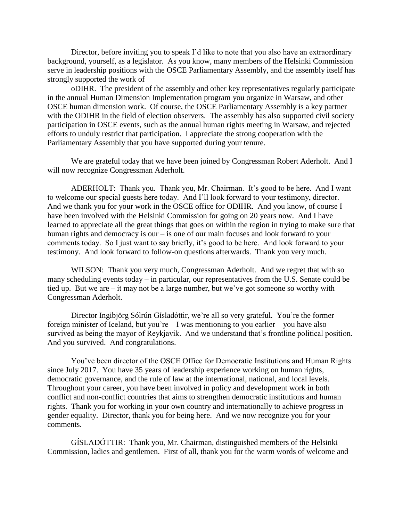Director, before inviting you to speak I'd like to note that you also have an extraordinary background, yourself, as a legislator. As you know, many members of the Helsinki Commission serve in leadership positions with the OSCE Parliamentary Assembly, and the assembly itself has strongly supported the work of

oDIHR. The president of the assembly and other key representatives regularly participate in the annual Human Dimension Implementation program you organize in Warsaw, and other OSCE human dimension work. Of course, the OSCE Parliamentary Assembly is a key partner with the ODIHR in the field of election observers. The assembly has also supported civil society participation in OSCE events, such as the annual human rights meeting in Warsaw, and rejected efforts to unduly restrict that participation. I appreciate the strong cooperation with the Parliamentary Assembly that you have supported during your tenure.

We are grateful today that we have been joined by Congressman Robert Aderholt. And I will now recognize Congressman Aderholt.

ADERHOLT: Thank you. Thank you, Mr. Chairman. It's good to be here. And I want to welcome our special guests here today. And I'll look forward to your testimony, director. And we thank you for your work in the OSCE office for ODIHR. And you know, of course I have been involved with the Helsinki Commission for going on 20 years now. And I have learned to appreciate all the great things that goes on within the region in trying to make sure that human rights and democracy is our – is one of our main focuses and look forward to your comments today. So I just want to say briefly, it's good to be here. And look forward to your testimony. And look forward to follow-on questions afterwards. Thank you very much.

WILSON: Thank you very much, Congressman Aderholt. And we regret that with so many scheduling events today – in particular, our representatives from the U.S. Senate could be tied up. But we are – it may not be a large number, but we've got someone so worthy with Congressman Aderholt.

Director Ingibjörg Sólrún Gísladóttir, we're all so very grateful. You're the former foreign minister of Iceland, but you're  $-$  I was mentioning to you earlier  $-$  you have also survived as being the mayor of Reykjavik. And we understand that's frontline political position. And you survived. And congratulations.

You've been director of the OSCE Office for Democratic Institutions and Human Rights since July 2017. You have 35 years of leadership experience working on human rights, democratic governance, and the rule of law at the international, national, and local levels. Throughout your career, you have been involved in policy and development work in both conflict and non-conflict countries that aims to strengthen democratic institutions and human rights. Thank you for working in your own country and internationally to achieve progress in gender equality. Director, thank you for being here. And we now recognize you for your comments.

GÍSLADÓTTIR: Thank you, Mr. Chairman, distinguished members of the Helsinki Commission, ladies and gentlemen. First of all, thank you for the warm words of welcome and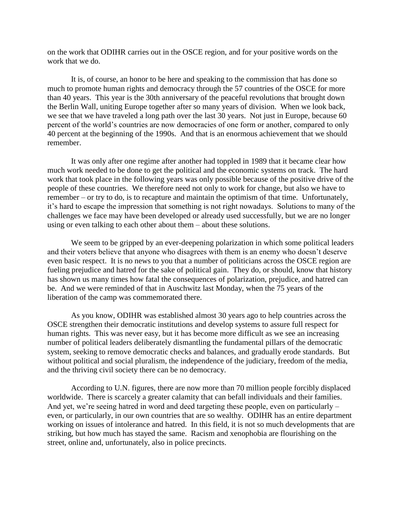on the work that ODIHR carries out in the OSCE region, and for your positive words on the work that we do.

It is, of course, an honor to be here and speaking to the commission that has done so much to promote human rights and democracy through the 57 countries of the OSCE for more than 40 years. This year is the 30th anniversary of the peaceful revolutions that brought down the Berlin Wall, uniting Europe together after so many years of division. When we look back, we see that we have traveled a long path over the last 30 years. Not just in Europe, because 60 percent of the world's countries are now democracies of one form or another, compared to only 40 percent at the beginning of the 1990s. And that is an enormous achievement that we should remember.

It was only after one regime after another had toppled in 1989 that it became clear how much work needed to be done to get the political and the economic systems on track. The hard work that took place in the following years was only possible because of the positive drive of the people of these countries. We therefore need not only to work for change, but also we have to remember – or try to do, is to recapture and maintain the optimism of that time. Unfortunately, it's hard to escape the impression that something is not right nowadays. Solutions to many of the challenges we face may have been developed or already used successfully, but we are no longer using or even talking to each other about them – about these solutions.

We seem to be gripped by an ever-deepening polarization in which some political leaders and their voters believe that anyone who disagrees with them is an enemy who doesn't deserve even basic respect. It is no news to you that a number of politicians across the OSCE region are fueling prejudice and hatred for the sake of political gain. They do, or should, know that history has shown us many times how fatal the consequences of polarization, prejudice, and hatred can be. And we were reminded of that in Auschwitz last Monday, when the 75 years of the liberation of the camp was commemorated there.

As you know, ODIHR was established almost 30 years ago to help countries across the OSCE strengthen their democratic institutions and develop systems to assure full respect for human rights. This was never easy, but it has become more difficult as we see an increasing number of political leaders deliberately dismantling the fundamental pillars of the democratic system, seeking to remove democratic checks and balances, and gradually erode standards. But without political and social pluralism, the independence of the judiciary, freedom of the media, and the thriving civil society there can be no democracy.

According to U.N. figures, there are now more than 70 million people forcibly displaced worldwide. There is scarcely a greater calamity that can befall individuals and their families. And yet, we're seeing hatred in word and deed targeting these people, even on particularly – even, or particularly, in our own countries that are so wealthy. ODIHR has an entire department working on issues of intolerance and hatred. In this field, it is not so much developments that are striking, but how much has stayed the same. Racism and xenophobia are flourishing on the street, online and, unfortunately, also in police precincts.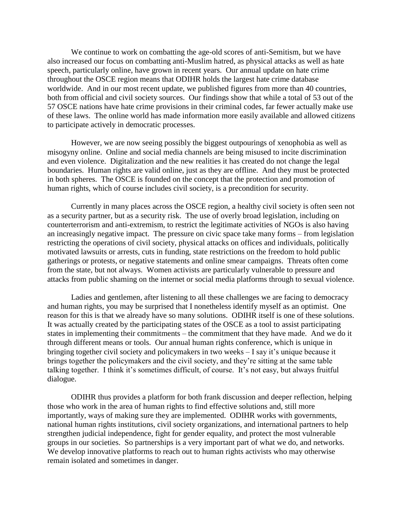We continue to work on combatting the age-old scores of anti-Semitism, but we have also increased our focus on combatting anti-Muslim hatred, as physical attacks as well as hate speech, particularly online, have grown in recent years. Our annual update on hate crime throughout the OSCE region means that ODIHR holds the largest hate crime database worldwide. And in our most recent update, we published figures from more than 40 countries, both from official and civil society sources. Our findings show that while a total of 53 out of the 57 OSCE nations have hate crime provisions in their criminal codes, far fewer actually make use of these laws. The online world has made information more easily available and allowed citizens to participate actively in democratic processes.

However, we are now seeing possibly the biggest outpourings of xenophobia as well as misogyny online. Online and social media channels are being misused to incite discrimination and even violence. Digitalization and the new realities it has created do not change the legal boundaries. Human rights are valid online, just as they are offline. And they must be protected in both spheres. The OSCE is founded on the concept that the protection and promotion of human rights, which of course includes civil society, is a precondition for security.

Currently in many places across the OSCE region, a healthy civil society is often seen not as a security partner, but as a security risk. The use of overly broad legislation, including on counterterrorism and anti-extremism, to restrict the legitimate activities of NGOs is also having an increasingly negative impact. The pressure on civic space take many forms – from legislation restricting the operations of civil society, physical attacks on offices and individuals, politically motivated lawsuits or arrests, cuts in funding, state restrictions on the freedom to hold public gatherings or protests, or negative statements and online smear campaigns. Threats often come from the state, but not always. Women activists are particularly vulnerable to pressure and attacks from public shaming on the internet or social media platforms through to sexual violence.

Ladies and gentlemen, after listening to all these challenges we are facing to democracy and human rights, you may be surprised that I nonetheless identify myself as an optimist. One reason for this is that we already have so many solutions. ODIHR itself is one of these solutions. It was actually created by the participating states of the OSCE as a tool to assist participating states in implementing their commitments – the commitment that they have made. And we do it through different means or tools. Our annual human rights conference, which is unique in bringing together civil society and policymakers in two weeks – I say it's unique because it brings together the policymakers and the civil society, and they're sitting at the same table talking together. I think it's sometimes difficult, of course. It's not easy, but always fruitful dialogue.

ODIHR thus provides a platform for both frank discussion and deeper reflection, helping those who work in the area of human rights to find effective solutions and, still more importantly, ways of making sure they are implemented. ODIHR works with governments, national human rights institutions, civil society organizations, and international partners to help strengthen judicial independence, fight for gender equality, and protect the most vulnerable groups in our societies. So partnerships is a very important part of what we do, and networks. We develop innovative platforms to reach out to human rights activists who may otherwise remain isolated and sometimes in danger.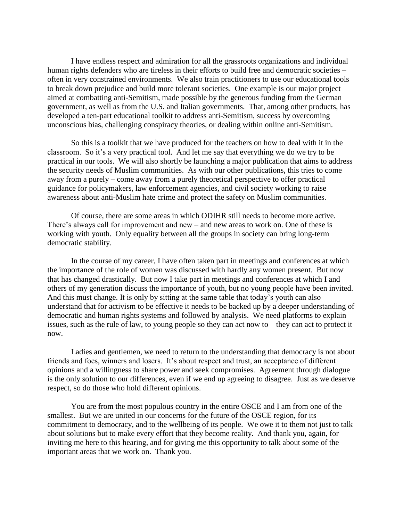I have endless respect and admiration for all the grassroots organizations and individual human rights defenders who are tireless in their efforts to build free and democratic societies – often in very constrained environments. We also train practitioners to use our educational tools to break down prejudice and build more tolerant societies. One example is our major project aimed at combatting anti-Semitism, made possible by the generous funding from the German government, as well as from the U.S. and Italian governments. That, among other products, has developed a ten-part educational toolkit to address anti-Semitism, success by overcoming unconscious bias, challenging conspiracy theories, or dealing within online anti-Semitism.

So this is a toolkit that we have produced for the teachers on how to deal with it in the classroom. So it's a very practical tool. And let me say that everything we do we try to be practical in our tools. We will also shortly be launching a major publication that aims to address the security needs of Muslim communities. As with our other publications, this tries to come away from a purely – come away from a purely theoretical perspective to offer practical guidance for policymakers, law enforcement agencies, and civil society working to raise awareness about anti-Muslim hate crime and protect the safety on Muslim communities.

Of course, there are some areas in which ODIHR still needs to become more active. There's always call for improvement and new – and new areas to work on. One of these is working with youth. Only equality between all the groups in society can bring long-term democratic stability.

In the course of my career, I have often taken part in meetings and conferences at which the importance of the role of women was discussed with hardly any women present. But now that has changed drastically. But now I take part in meetings and conferences at which I and others of my generation discuss the importance of youth, but no young people have been invited. And this must change. It is only by sitting at the same table that today's youth can also understand that for activism to be effective it needs to be backed up by a deeper understanding of democratic and human rights systems and followed by analysis. We need platforms to explain issues, such as the rule of law, to young people so they can act now to – they can act to protect it now.

Ladies and gentlemen, we need to return to the understanding that democracy is not about friends and foes, winners and losers. It's about respect and trust, an acceptance of different opinions and a willingness to share power and seek compromises. Agreement through dialogue is the only solution to our differences, even if we end up agreeing to disagree. Just as we deserve respect, so do those who hold different opinions.

You are from the most populous country in the entire OSCE and I am from one of the smallest. But we are united in our concerns for the future of the OSCE region, for its commitment to democracy, and to the wellbeing of its people. We owe it to them not just to talk about solutions but to make every effort that they become reality. And thank you, again, for inviting me here to this hearing, and for giving me this opportunity to talk about some of the important areas that we work on. Thank you.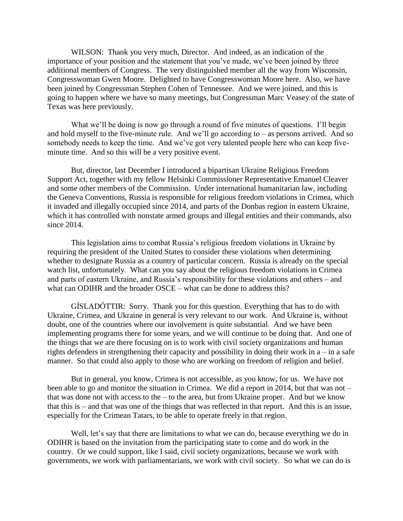WILSON: Thank you very much, Director. And indeed, as an indication of the importance of your position and the statement that you've made, we've been joined by three additional members of Congress. The very distinguished member all the way from Wisconsin, Congresswoman Gwen Moore. Delighted to have Congresswoman Moore here. Also, we have been joined by Congressman Stephen Cohen of Tennessee. And we were joined, and this is going to happen where we have so many meetings, but Congressman Marc Veasey of the state of Texas was here previously.

What we'll be doing is now go through a round of five minutes of questions. I'll begin and hold myself to the five-minute rule. And we'll go according to – as persons arrived. And so somebody needs to keep the time. And we've got very talented people here who can keep fiveminute time. And so this will be a very positive event.

But, director, last December I introduced a bipartisan Ukraine Religious Freedom Support Act, together with my fellow Helsinki Commissioner Representative Emanuel Cleaver and some other members of the Commission. Under international humanitarian law, including the Geneva Conventions, Russia is responsible for religious freedom violations in Crimea, which it invaded and illegally occupied since 2014, and parts of the Donbas region in eastern Ukraine, which it has controlled with nonstate armed groups and illegal entities and their commands, also since 2014.

This legislation aims to combat Russia's religious freedom violations in Ukraine by requiring the president of the United States to consider these violations when determining whether to designate Russia as a country of particular concern. Russia is already on the special watch list, unfortunately. What can you say about the religious freedom violations in Crimea and parts of eastern Ukraine, and Russia's responsibility for these violations and others – and what can ODIHR and the broader OSCE – what can be done to address this?

GÍSLADÓTTIR: Sorry. Thank you for this question. Everything that has to do with Ukraine, Crimea, and Ukraine in general is very relevant to our work. And Ukraine is, without doubt, one of the countries where our involvement is quite substantial. And we have been implementing programs there for some years, and we will continue to be doing that. And one of the things that we are there focusing on is to work with civil society organizations and human rights defenders in strengthening their capacity and possibility in doing their work in a – in a safe manner. So that could also apply to those who are working on freedom of religion and belief.

But in general, you know, Crimea is not accessible, as you know, for us. We have not been able to go and monitor the situation in Crimea. We did a report in 2014, but that was not – that was done not with access to the – to the area, but from Ukraine proper. And but we know that this is – and that was one of the things that was reflected in that report. And this is an issue, especially for the Crimean Tatars, to be able to operate freely in that region.

Well, let's say that there are limitations to what we can do, because everything we do in ODIHR is based on the invitation from the participating state to come and do work in the country. Or we could support, like I said, civil society organizations, because we work with governments, we work with parliamentarians, we work with civil society. So what we can do is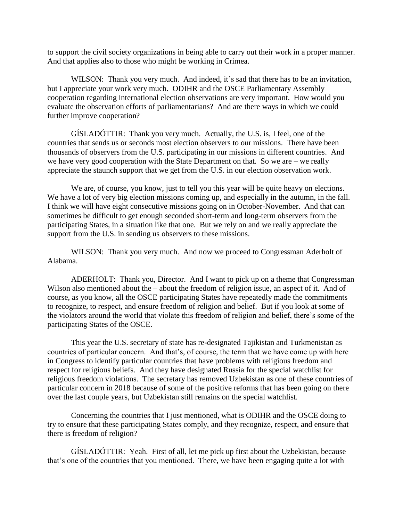to support the civil society organizations in being able to carry out their work in a proper manner. And that applies also to those who might be working in Crimea.

WILSON: Thank you very much. And indeed, it's sad that there has to be an invitation, but I appreciate your work very much. ODIHR and the OSCE Parliamentary Assembly cooperation regarding international election observations are very important. How would you evaluate the observation efforts of parliamentarians? And are there ways in which we could further improve cooperation?

GÍSLADÓTTIR: Thank you very much. Actually, the U.S. is, I feel, one of the countries that sends us or seconds most election observers to our missions. There have been thousands of observers from the U.S. participating in our missions in different countries. And we have very good cooperation with the State Department on that. So we are – we really appreciate the staunch support that we get from the U.S. in our election observation work.

We are, of course, you know, just to tell you this year will be quite heavy on elections. We have a lot of very big election missions coming up, and especially in the autumn, in the fall. I think we will have eight consecutive missions going on in October-November. And that can sometimes be difficult to get enough seconded short-term and long-term observers from the participating States, in a situation like that one. But we rely on and we really appreciate the support from the U.S. in sending us observers to these missions.

WILSON: Thank you very much. And now we proceed to Congressman Aderholt of Alabama.

ADERHOLT: Thank you, Director. And I want to pick up on a theme that Congressman Wilson also mentioned about the – about the freedom of religion issue, an aspect of it. And of course, as you know, all the OSCE participating States have repeatedly made the commitments to recognize, to respect, and ensure freedom of religion and belief. But if you look at some of the violators around the world that violate this freedom of religion and belief, there's some of the participating States of the OSCE.

This year the U.S. secretary of state has re-designated Tajikistan and Turkmenistan as countries of particular concern. And that's, of course, the term that we have come up with here in Congress to identify particular countries that have problems with religious freedom and respect for religious beliefs. And they have designated Russia for the special watchlist for religious freedom violations. The secretary has removed Uzbekistan as one of these countries of particular concern in 2018 because of some of the positive reforms that has been going on there over the last couple years, but Uzbekistan still remains on the special watchlist.

Concerning the countries that I just mentioned, what is ODIHR and the OSCE doing to try to ensure that these participating States comply, and they recognize, respect, and ensure that there is freedom of religion?

GÍSLADÓTTIR: Yeah. First of all, let me pick up first about the Uzbekistan, because that's one of the countries that you mentioned. There, we have been engaging quite a lot with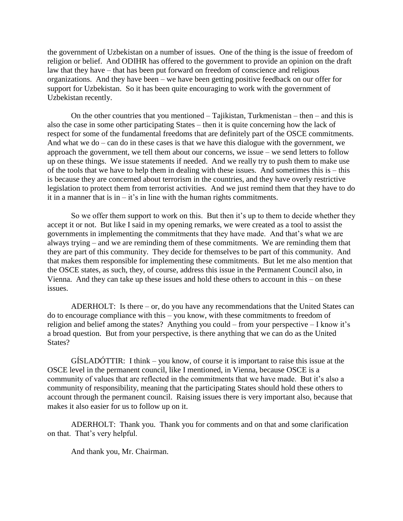the government of Uzbekistan on a number of issues. One of the thing is the issue of freedom of religion or belief. And ODIHR has offered to the government to provide an opinion on the draft law that they have – that has been put forward on freedom of conscience and religious organizations. And they have been – we have been getting positive feedback on our offer for support for Uzbekistan. So it has been quite encouraging to work with the government of Uzbekistan recently.

On the other countries that you mentioned – Tajikistan, Turkmenistan – then – and this is also the case in some other participating States – then it is quite concerning how the lack of respect for some of the fundamental freedoms that are definitely part of the OSCE commitments. And what we do – can do in these cases is that we have this dialogue with the government, we approach the government, we tell them about our concerns, we issue – we send letters to follow up on these things. We issue statements if needed. And we really try to push them to make use of the tools that we have to help them in dealing with these issues. And sometimes this is – this is because they are concerned about terrorism in the countries, and they have overly restrictive legislation to protect them from terrorist activities. And we just remind them that they have to do it in a manner that is in – it's in line with the human rights commitments.

So we offer them support to work on this. But then it's up to them to decide whether they accept it or not. But like I said in my opening remarks, we were created as a tool to assist the governments in implementing the commitments that they have made. And that's what we are always trying – and we are reminding them of these commitments. We are reminding them that they are part of this community. They decide for themselves to be part of this community. And that makes them responsible for implementing these commitments. But let me also mention that the OSCE states, as such, they, of course, address this issue in the Permanent Council also, in Vienna. And they can take up these issues and hold these others to account in this – on these issues.

ADERHOLT: Is there – or, do you have any recommendations that the United States can do to encourage compliance with this – you know, with these commitments to freedom of religion and belief among the states? Anything you could – from your perspective – I know it's a broad question. But from your perspective, is there anything that we can do as the United States?

GÍSLADÓTTIR: I think – you know, of course it is important to raise this issue at the OSCE level in the permanent council, like I mentioned, in Vienna, because OSCE is a community of values that are reflected in the commitments that we have made. But it's also a community of responsibility, meaning that the participating States should hold these others to account through the permanent council. Raising issues there is very important also, because that makes it also easier for us to follow up on it.

ADERHOLT: Thank you. Thank you for comments and on that and some clarification on that. That's very helpful.

And thank you, Mr. Chairman.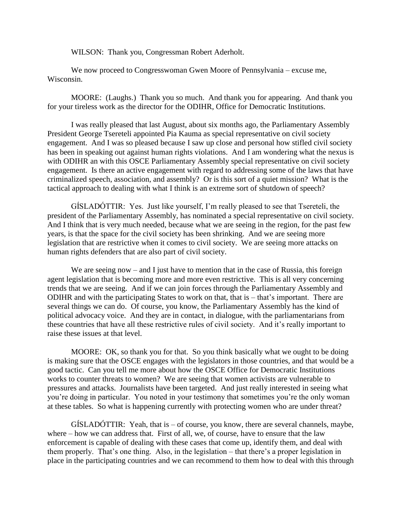WILSON: Thank you, Congressman Robert Aderholt.

We now proceed to Congresswoman Gwen Moore of Pennsylvania – excuse me, Wisconsin.

MOORE: (Laughs.) Thank you so much. And thank you for appearing. And thank you for your tireless work as the director for the ODIHR, Office for Democratic Institutions.

I was really pleased that last August, about six months ago, the Parliamentary Assembly President George Tsereteli appointed Pia Kauma as special representative on civil society engagement. And I was so pleased because I saw up close and personal how stifled civil society has been in speaking out against human rights violations. And I am wondering what the nexus is with ODIHR an with this OSCE Parliamentary Assembly special representative on civil society engagement. Is there an active engagement with regard to addressing some of the laws that have criminalized speech, association, and assembly? Or is this sort of a quiet mission? What is the tactical approach to dealing with what I think is an extreme sort of shutdown of speech?

GÍSLADÓTTIR: Yes. Just like yourself, I'm really pleased to see that Tsereteli, the president of the Parliamentary Assembly, has nominated a special representative on civil society. And I think that is very much needed, because what we are seeing in the region, for the past few years, is that the space for the civil society has been shrinking. And we are seeing more legislation that are restrictive when it comes to civil society. We are seeing more attacks on human rights defenders that are also part of civil society.

We are seeing now – and I just have to mention that in the case of Russia, this foreign agent legislation that is becoming more and more even restrictive. This is all very concerning trends that we are seeing. And if we can join forces through the Parliamentary Assembly and ODIHR and with the participating States to work on that, that is – that's important. There are several things we can do. Of course, you know, the Parliamentary Assembly has the kind of political advocacy voice. And they are in contact, in dialogue, with the parliamentarians from these countries that have all these restrictive rules of civil society. And it's really important to raise these issues at that level.

MOORE: OK, so thank you for that. So you think basically what we ought to be doing is making sure that the OSCE engages with the legislators in those countries, and that would be a good tactic. Can you tell me more about how the OSCE Office for Democratic Institutions works to counter threats to women? We are seeing that women activists are vulnerable to pressures and attacks. Journalists have been targeted. And just really interested in seeing what you're doing in particular. You noted in your testimony that sometimes you're the only woman at these tables. So what is happening currently with protecting women who are under threat?

GÍSLADÓTTIR: Yeah, that is – of course, you know, there are several channels, maybe, where – how we can address that. First of all, we, of course, have to ensure that the law enforcement is capable of dealing with these cases that come up, identify them, and deal with them properly. That's one thing. Also, in the legislation – that there's a proper legislation in place in the participating countries and we can recommend to them how to deal with this through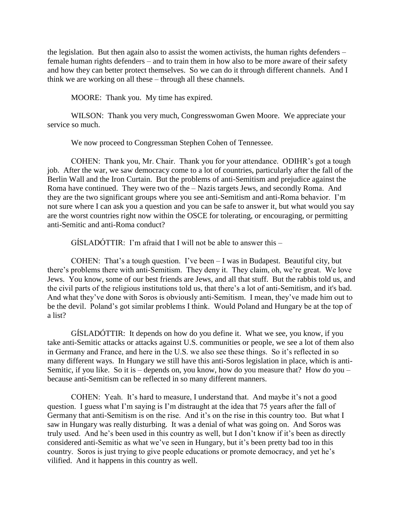the legislation. But then again also to assist the women activists, the human rights defenders – female human rights defenders – and to train them in how also to be more aware of their safety and how they can better protect themselves. So we can do it through different channels. And I think we are working on all these – through all these channels.

MOORE: Thank you. My time has expired.

WILSON: Thank you very much, Congresswoman Gwen Moore. We appreciate your service so much.

We now proceed to Congressman Stephen Cohen of Tennessee.

COHEN: Thank you, Mr. Chair. Thank you for your attendance. ODIHR's got a tough job. After the war, we saw democracy come to a lot of countries, particularly after the fall of the Berlin Wall and the Iron Curtain. But the problems of anti-Semitism and prejudice against the Roma have continued. They were two of the – Nazis targets Jews, and secondly Roma. And they are the two significant groups where you see anti-Semitism and anti-Roma behavior. I'm not sure where I can ask you a question and you can be safe to answer it, but what would you say are the worst countries right now within the OSCE for tolerating, or encouraging, or permitting anti-Semitic and anti-Roma conduct?

GÍSLADÓTTIR: I'm afraid that I will not be able to answer this –

COHEN: That's a tough question. I've been  $-I$  was in Budapest. Beautiful city, but there's problems there with anti-Semitism. They deny it. They claim, oh, we're great. We love Jews. You know, some of our best friends are Jews, and all that stuff. But the rabbis told us, and the civil parts of the religious institutions told us, that there's a lot of anti-Semitism, and it's bad. And what they've done with Soros is obviously anti-Semitism. I mean, they've made him out to be the devil. Poland's got similar problems I think. Would Poland and Hungary be at the top of a list?

GÍSLADÓTTIR: It depends on how do you define it. What we see, you know, if you take anti-Semitic attacks or attacks against U.S. communities or people, we see a lot of them also in Germany and France, and here in the U.S. we also see these things. So it's reflected in so many different ways. In Hungary we still have this anti-Soros legislation in place, which is anti-Semitic, if you like. So it is – depends on, you know, how do you measure that? How do you – because anti-Semitism can be reflected in so many different manners.

COHEN: Yeah. It's hard to measure, I understand that. And maybe it's not a good question. I guess what I'm saying is I'm distraught at the idea that 75 years after the fall of Germany that anti-Semitism is on the rise. And it's on the rise in this country too. But what I saw in Hungary was really disturbing. It was a denial of what was going on. And Soros was truly used. And he's been used in this country as well, but I don't know if it's been as directly considered anti-Semitic as what we've seen in Hungary, but it's been pretty bad too in this country. Soros is just trying to give people educations or promote democracy, and yet he's vilified. And it happens in this country as well.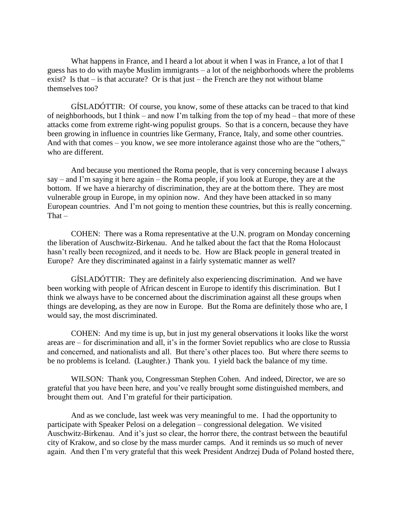What happens in France, and I heard a lot about it when I was in France, a lot of that I guess has to do with maybe Muslim immigrants – a lot of the neighborhoods where the problems exist? Is that – is that accurate? Or is that just – the French are they not without blame themselves too?

GÍSLADÓTTIR: Of course, you know, some of these attacks can be traced to that kind of neighborhoods, but I think – and now I'm talking from the top of my head – that more of these attacks come from extreme right-wing populist groups. So that is a concern, because they have been growing in influence in countries like Germany, France, Italy, and some other countries. And with that comes – you know, we see more intolerance against those who are the "others," who are different.

And because you mentioned the Roma people, that is very concerning because I always say – and I'm saying it here again – the Roma people, if you look at Europe, they are at the bottom. If we have a hierarchy of discrimination, they are at the bottom there. They are most vulnerable group in Europe, in my opinion now. And they have been attacked in so many European countries. And I'm not going to mention these countries, but this is really concerning. That –

COHEN: There was a Roma representative at the U.N. program on Monday concerning the liberation of Auschwitz-Birkenau. And he talked about the fact that the Roma Holocaust hasn't really been recognized, and it needs to be. How are Black people in general treated in Europe? Are they discriminated against in a fairly systematic manner as well?

GÍSLADÓTTIR: They are definitely also experiencing discrimination. And we have been working with people of African descent in Europe to identify this discrimination. But I think we always have to be concerned about the discrimination against all these groups when things are developing, as they are now in Europe. But the Roma are definitely those who are, I would say, the most discriminated.

COHEN: And my time is up, but in just my general observations it looks like the worst areas are – for discrimination and all, it's in the former Soviet republics who are close to Russia and concerned, and nationalists and all. But there's other places too. But where there seems to be no problems is Iceland. (Laughter.) Thank you. I yield back the balance of my time.

WILSON: Thank you, Congressman Stephen Cohen. And indeed, Director, we are so grateful that you have been here, and you've really brought some distinguished members, and brought them out. And I'm grateful for their participation.

And as we conclude, last week was very meaningful to me. I had the opportunity to participate with Speaker Pelosi on a delegation – congressional delegation. We visited Auschwitz-Birkenau. And it's just so clear, the horror there, the contrast between the beautiful city of Krakow, and so close by the mass murder camps. And it reminds us so much of never again. And then I'm very grateful that this week President Andrzej Duda of Poland hosted there,